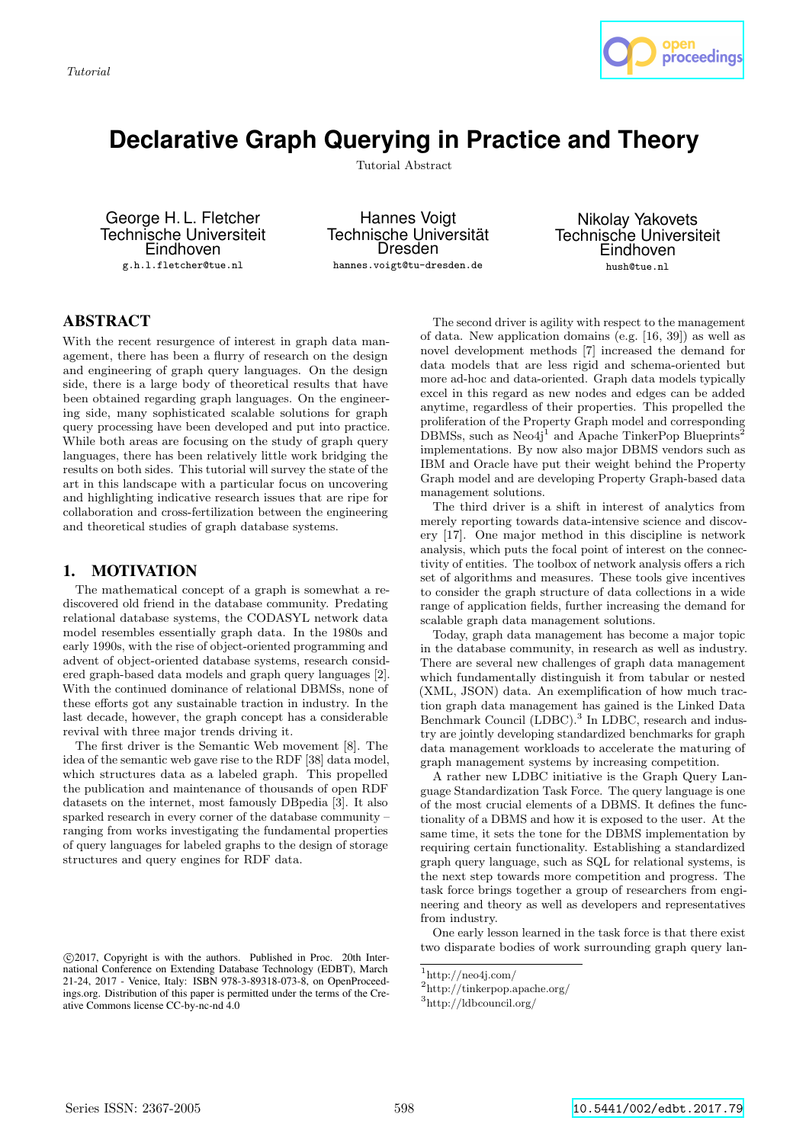

# **Declarative Graph Querying in Practice and Theory**

Tutorial Abstract

George H. L. Fletcher Technische Universiteit **Eindhoven** g.h.l.fletcher@tue.nl

Hannes Voigt Technische Universität Dresden hannes.voigt@tu-dresden.de

Nikolay Yakovets Technische Universiteit Eindhoven hush@tue.nl

## ABSTRACT

With the recent resurgence of interest in graph data management, there has been a flurry of research on the design and engineering of graph query languages. On the design side, there is a large body of theoretical results that have been obtained regarding graph languages. On the engineering side, many sophisticated scalable solutions for graph query processing have been developed and put into practice. While both areas are focusing on the study of graph query languages, there has been relatively little work bridging the results on both sides. This tutorial will survey the state of the art in this landscape with a particular focus on uncovering and highlighting indicative research issues that are ripe for collaboration and cross-fertilization between the engineering and theoretical studies of graph database systems.

#### 1. MOTIVATION

The mathematical concept of a graph is somewhat a rediscovered old friend in the database community. Predating relational database systems, the CODASYL network data model resembles essentially graph data. In the 1980s and early 1990s, with the rise of object-oriented programming and advent of object-oriented database systems, research considered graph-based data models and graph query languages [2]. With the continued dominance of relational DBMSs, none of these efforts got any sustainable traction in industry. In the last decade, however, the graph concept has a considerable revival with three major trends driving it.

The first driver is the Semantic Web movement [8]. The idea of the semantic web gave rise to the RDF [38] data model, which structures data as a labeled graph. This propelled the publication and maintenance of thousands of open RDF datasets on the internet, most famously DBpedia [3]. It also sparked research in every corner of the database community – ranging from works investigating the fundamental properties of query languages for labeled graphs to the design of storage structures and query engines for RDF data.

The second driver is agility with respect to the management of data. New application domains (e.g. [16, 39]) as well as novel development methods [7] increased the demand for data models that are less rigid and schema-oriented but more ad-hoc and data-oriented. Graph data models typically excel in this regard as new nodes and edges can be added anytime, regardless of their properties. This propelled the proliferation of the Property Graph model and corresponding DBMSs, such as  $Neo4j<sup>1</sup>$  and Apache TinkerPop Blueprints<sup>2</sup> implementations. By now also major DBMS vendors such as IBM and Oracle have put their weight behind the Property Graph model and are developing Property Graph-based data management solutions.

The third driver is a shift in interest of analytics from merely reporting towards data-intensive science and discovery [17]. One major method in this discipline is network analysis, which puts the focal point of interest on the connectivity of entities. The toolbox of network analysis offers a rich set of algorithms and measures. These tools give incentives to consider the graph structure of data collections in a wide range of application fields, further increasing the demand for scalable graph data management solutions.

Today, graph data management has become a major topic in the database community, in research as well as industry. There are several new challenges of graph data management which fundamentally distinguish it from tabular or nested (XML, JSON) data. An exemplification of how much traction graph data management has gained is the Linked Data Benchmark Council (LDBC).<sup>3</sup> In LDBC, research and industry are jointly developing standardized benchmarks for graph data management workloads to accelerate the maturing of graph management systems by increasing competition.

A rather new LDBC initiative is the Graph Query Language Standardization Task Force. The query language is one of the most crucial elements of a DBMS. It defines the functionality of a DBMS and how it is exposed to the user. At the same time, it sets the tone for the DBMS implementation by requiring certain functionality. Establishing a standardized graph query language, such as SQL for relational systems, is the next step towards more competition and progress. The task force brings together a group of researchers from engineering and theory as well as developers and representatives from industry.

One early lesson learned in the task force is that there exist two disparate bodies of work surrounding graph query lan-

c 2017, Copyright is with the authors. Published in Proc. 20th International Conference on Extending Database Technology (EDBT), March 21-24, 2017 - Venice, Italy: ISBN 978-3-89318-073-8, on OpenProceedings.org. Distribution of this paper is permitted under the terms of the Creative Commons license CC-by-nc-nd 4.0

 $1$ http://neo4j.com/

<sup>2</sup>http://tinkerpop.apache.org/

<sup>3</sup>http://ldbcouncil.org/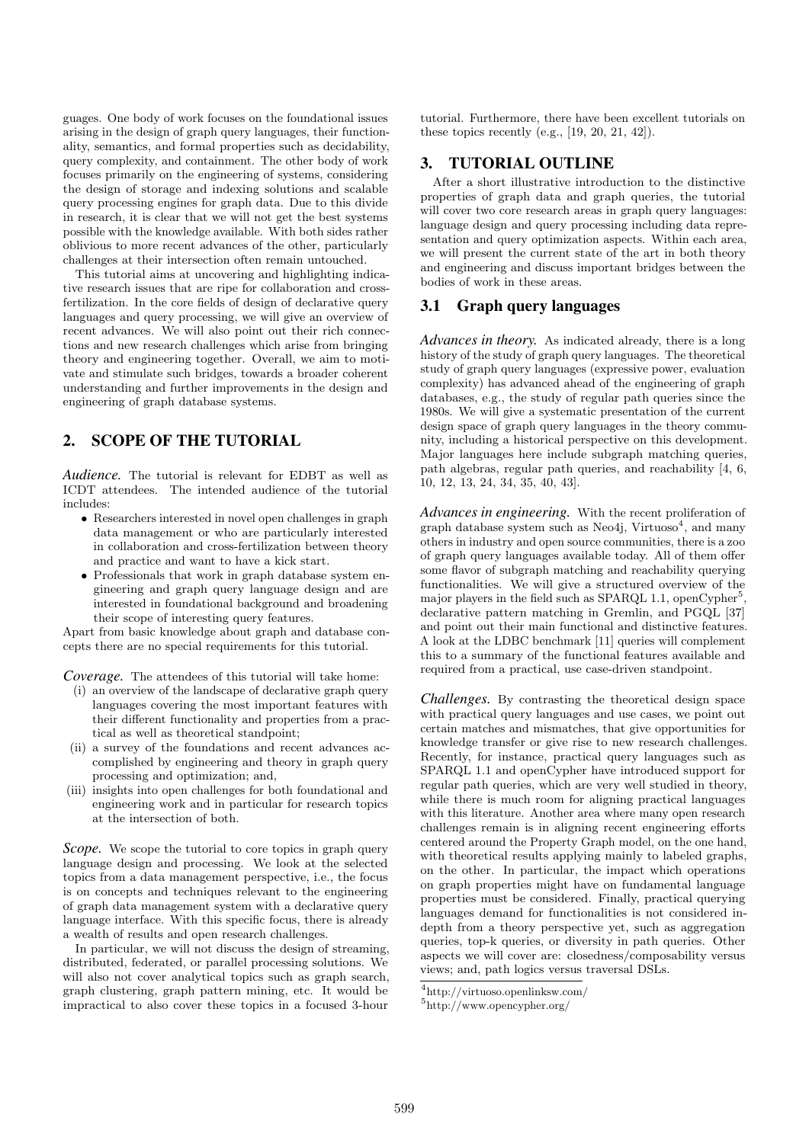guages. One body of work focuses on the foundational issues arising in the design of graph query languages, their functionality, semantics, and formal properties such as decidability, query complexity, and containment. The other body of work focuses primarily on the engineering of systems, considering the design of storage and indexing solutions and scalable query processing engines for graph data. Due to this divide in research, it is clear that we will not get the best systems possible with the knowledge available. With both sides rather oblivious to more recent advances of the other, particularly challenges at their intersection often remain untouched.

This tutorial aims at uncovering and highlighting indicative research issues that are ripe for collaboration and crossfertilization. In the core fields of design of declarative query languages and query processing, we will give an overview of recent advances. We will also point out their rich connections and new research challenges which arise from bringing theory and engineering together. Overall, we aim to motivate and stimulate such bridges, towards a broader coherent understanding and further improvements in the design and engineering of graph database systems.

## 2. SCOPE OF THE TUTORIAL

*Audience.* The tutorial is relevant for EDBT as well as ICDT attendees. The intended audience of the tutorial includes:

- Researchers interested in novel open challenges in graph data management or who are particularly interested in collaboration and cross-fertilization between theory and practice and want to have a kick start.
- Professionals that work in graph database system engineering and graph query language design and are interested in foundational background and broadening their scope of interesting query features.

Apart from basic knowledge about graph and database concepts there are no special requirements for this tutorial.

*Coverage.* The attendees of this tutorial will take home:

- (i) an overview of the landscape of declarative graph query languages covering the most important features with their different functionality and properties from a practical as well as theoretical standpoint;
- (ii) a survey of the foundations and recent advances accomplished by engineering and theory in graph query processing and optimization; and,
- (iii) insights into open challenges for both foundational and engineering work and in particular for research topics at the intersection of both.

*Scope*. We scope the tutorial to core topics in graph query language design and processing. We look at the selected topics from a data management perspective, i.e., the focus is on concepts and techniques relevant to the engineering of graph data management system with a declarative query language interface. With this specific focus, there is already a wealth of results and open research challenges.

In particular, we will not discuss the design of streaming, distributed, federated, or parallel processing solutions. We will also not cover analytical topics such as graph search, graph clustering, graph pattern mining, etc. It would be impractical to also cover these topics in a focused 3-hour

tutorial. Furthermore, there have been excellent tutorials on these topics recently  $(e.g., [19, 20, 21, 42]).$ 

#### 3. TUTORIAL OUTLINE

After a short illustrative introduction to the distinctive properties of graph data and graph queries, the tutorial will cover two core research areas in graph query languages: language design and query processing including data representation and query optimization aspects. Within each area, we will present the current state of the art in both theory and engineering and discuss important bridges between the bodies of work in these areas.

#### 3.1 Graph query languages

*Advances in theory.* As indicated already, there is a long history of the study of graph query languages. The theoretical study of graph query languages (expressive power, evaluation complexity) has advanced ahead of the engineering of graph databases, e.g., the study of regular path queries since the 1980s. We will give a systematic presentation of the current design space of graph query languages in the theory community, including a historical perspective on this development. Major languages here include subgraph matching queries, path algebras, regular path queries, and reachability [4, 6, 10, 12, 13, 24, 34, 35, 40, 43].

*Advances in engineering.* With the recent proliferation of graph database system such as Neo4j, Virtuoso<sup>4</sup>, and many others in industry and open source communities, there is a zoo of graph query languages available today. All of them offer some flavor of subgraph matching and reachability querying functionalities. We will give a structured overview of the major players in the field such as SPARQL 1.1, openCypher<sup>5</sup>, declarative pattern matching in Gremlin, and PGQL [37] and point out their main functional and distinctive features. A look at the LDBC benchmark [11] queries will complement this to a summary of the functional features available and required from a practical, use case-driven standpoint.

*Challenges.* By contrasting the theoretical design space with practical query languages and use cases, we point out certain matches and mismatches, that give opportunities for knowledge transfer or give rise to new research challenges. Recently, for instance, practical query languages such as SPARQL 1.1 and openCypher have introduced support for regular path queries, which are very well studied in theory, while there is much room for aligning practical languages with this literature. Another area where many open research challenges remain is in aligning recent engineering efforts centered around the Property Graph model, on the one hand, with theoretical results applying mainly to labeled graphs, on the other. In particular, the impact which operations on graph properties might have on fundamental language properties must be considered. Finally, practical querying languages demand for functionalities is not considered indepth from a theory perspective yet, such as aggregation queries, top-k queries, or diversity in path queries. Other aspects we will cover are: closedness/composability versus views; and, path logics versus traversal DSLs.

<sup>4</sup>http://virtuoso.openlinksw.com/

<sup>5</sup>http://www.opencypher.org/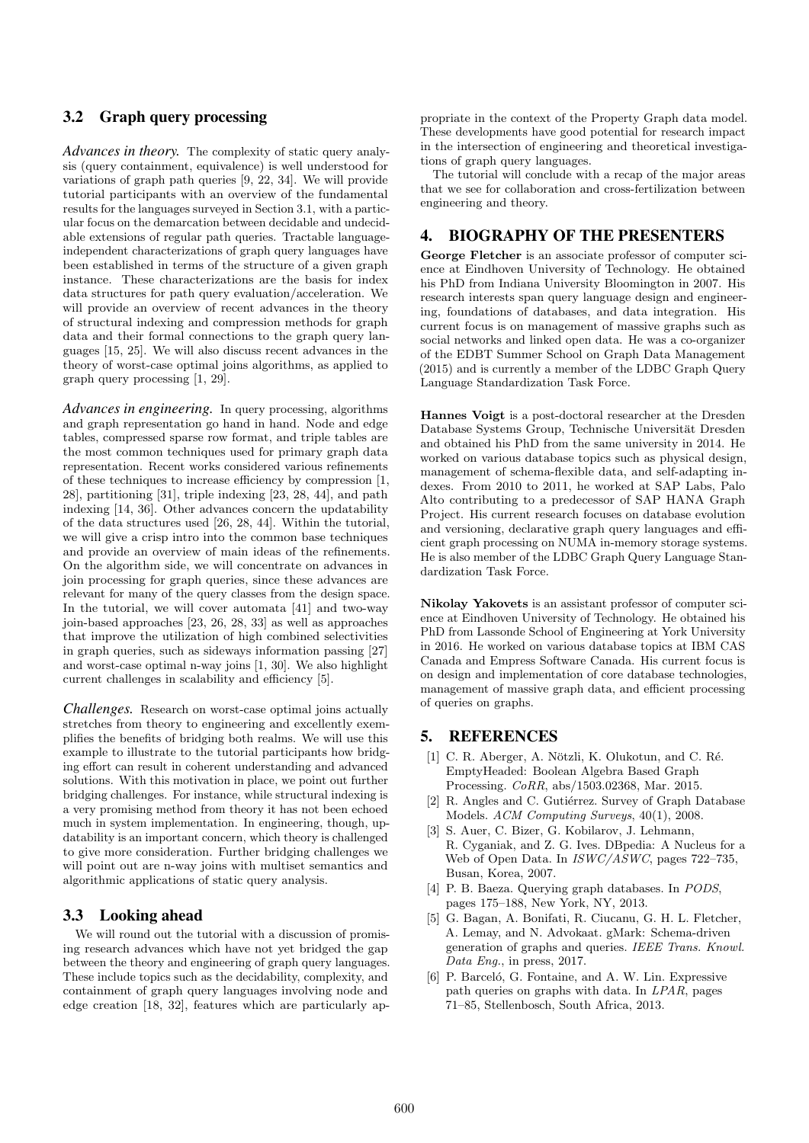#### 3.2 Graph query processing

*Advances in theory.* The complexity of static query analysis (query containment, equivalence) is well understood for variations of graph path queries [9, 22, 34]. We will provide tutorial participants with an overview of the fundamental results for the languages surveyed in Section 3.1, with a particular focus on the demarcation between decidable and undecidable extensions of regular path queries. Tractable languageindependent characterizations of graph query languages have been established in terms of the structure of a given graph instance. These characterizations are the basis for index data structures for path query evaluation/acceleration. We will provide an overview of recent advances in the theory of structural indexing and compression methods for graph data and their formal connections to the graph query languages [15, 25]. We will also discuss recent advances in the theory of worst-case optimal joins algorithms, as applied to graph query processing [1, 29].

*Advances in engineering.* In query processing, algorithms and graph representation go hand in hand. Node and edge tables, compressed sparse row format, and triple tables are the most common techniques used for primary graph data representation. Recent works considered various refinements of these techniques to increase efficiency by compression [1, 28], partitioning [31], triple indexing [23, 28, 44], and path indexing [14, 36]. Other advances concern the updatability of the data structures used [26, 28, 44]. Within the tutorial, we will give a crisp intro into the common base techniques and provide an overview of main ideas of the refinements. On the algorithm side, we will concentrate on advances in join processing for graph queries, since these advances are relevant for many of the query classes from the design space. In the tutorial, we will cover automata [41] and two-way join-based approaches [23, 26, 28, 33] as well as approaches that improve the utilization of high combined selectivities in graph queries, such as sideways information passing [27] and worst-case optimal n-way joins [1, 30]. We also highlight current challenges in scalability and efficiency [5].

*Challenges.* Research on worst-case optimal joins actually stretches from theory to engineering and excellently exemplifies the benefits of bridging both realms. We will use this example to illustrate to the tutorial participants how bridging effort can result in coherent understanding and advanced solutions. With this motivation in place, we point out further bridging challenges. For instance, while structural indexing is a very promising method from theory it has not been echoed much in system implementation. In engineering, though, updatability is an important concern, which theory is challenged to give more consideration. Further bridging challenges we will point out are n-way joins with multiset semantics and algorithmic applications of static query analysis.

#### 3.3 Looking ahead

We will round out the tutorial with a discussion of promising research advances which have not yet bridged the gap between the theory and engineering of graph query languages. These include topics such as the decidability, complexity, and containment of graph query languages involving node and edge creation [18, 32], features which are particularly appropriate in the context of the Property Graph data model. These developments have good potential for research impact in the intersection of engineering and theoretical investigations of graph query languages.

The tutorial will conclude with a recap of the major areas that we see for collaboration and cross-fertilization between engineering and theory.

#### 4. BIOGRAPHY OF THE PRESENTERS

George Fletcher is an associate professor of computer science at Eindhoven University of Technology. He obtained his PhD from Indiana University Bloomington in 2007. His research interests span query language design and engineering, foundations of databases, and data integration. His current focus is on management of massive graphs such as social networks and linked open data. He was a co-organizer of the EDBT Summer School on Graph Data Management (2015) and is currently a member of the LDBC Graph Query Language Standardization Task Force.

Hannes Voigt is a post-doctoral researcher at the Dresden Database Systems Group, Technische Universität Dresden and obtained his PhD from the same university in 2014. He worked on various database topics such as physical design, management of schema-flexible data, and self-adapting indexes. From 2010 to 2011, he worked at SAP Labs, Palo Alto contributing to a predecessor of SAP HANA Graph Project. His current research focuses on database evolution and versioning, declarative graph query languages and efficient graph processing on NUMA in-memory storage systems. He is also member of the LDBC Graph Query Language Standardization Task Force.

Nikolay Yakovets is an assistant professor of computer science at Eindhoven University of Technology. He obtained his PhD from Lassonde School of Engineering at York University in 2016. He worked on various database topics at IBM CAS Canada and Empress Software Canada. His current focus is on design and implementation of core database technologies, management of massive graph data, and efficient processing of queries on graphs.

## 5. REFERENCES

- [1] C. R. Aberger, A. Nötzli, K. Olukotun, and C. Ré. EmptyHeaded: Boolean Algebra Based Graph Processing. CoRR, abs/1503.02368, Mar. 2015.
- [2] R. Angles and C. Gutiérrez. Survey of Graph Database Models. ACM Computing Surveys, 40(1), 2008.
- [3] S. Auer, C. Bizer, G. Kobilarov, J. Lehmann, R. Cyganiak, and Z. G. Ives. DBpedia: A Nucleus for a Web of Open Data. In ISWC/ASWC, pages 722–735, Busan, Korea, 2007.
- [4] P. B. Baeza. Querying graph databases. In PODS, pages 175–188, New York, NY, 2013.
- [5] G. Bagan, A. Bonifati, R. Ciucanu, G. H. L. Fletcher, A. Lemay, and N. Advokaat. gMark: Schema-driven generation of graphs and queries. IEEE Trans. Knowl. Data Eng., in press, 2017.
- [6] P. Barceló, G. Fontaine, and A. W. Lin. Expressive path queries on graphs with data. In LPAR, pages 71–85, Stellenbosch, South Africa, 2013.